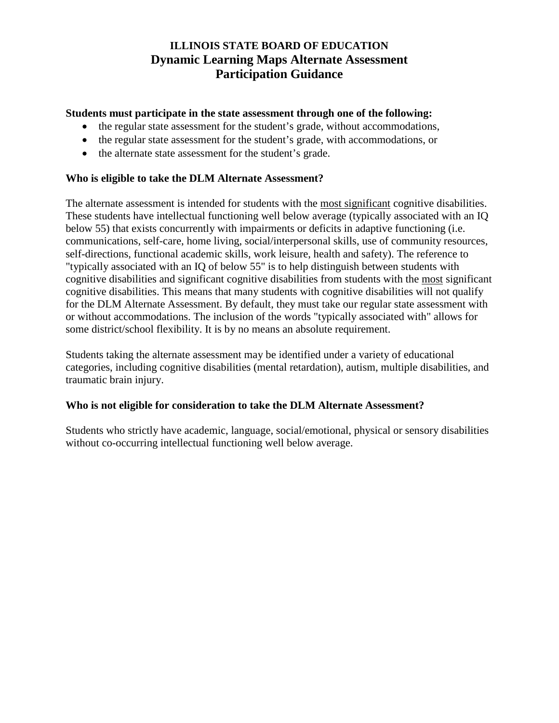# **ILLINOIS STATE BOARD OF EDUCATION Dynamic Learning Maps Alternate Assessment Participation Guidance**

### **Students must participate in the state assessment through one of the following:**

- the regular state assessment for the student's grade, without accommodations,
- the regular state assessment for the student's grade, with accommodations, or
- the alternate state assessment for the student's grade.

### **Who is eligible to take the DLM Alternate Assessment?**

The alternate assessment is intended for students with the most significant cognitive disabilities. These students have intellectual functioning well below average (typically associated with an IQ below 55) that exists concurrently with impairments or deficits in adaptive functioning (i.e. communications, self-care, home living, social/interpersonal skills, use of community resources, self-directions, functional academic skills, work leisure, health and safety). The reference to "typically associated with an IQ of below 55" is to help distinguish between students with cognitive disabilities and significant cognitive disabilities from students with the most significant cognitive disabilities. This means that many students with cognitive disabilities will not qualify for the DLM Alternate Assessment. By default, they must take our regular state assessment with or without accommodations. The inclusion of the words "typically associated with" allows for some district/school flexibility. It is by no means an absolute requirement.

Students taking the alternate assessment may be identified under a variety of educational categories, including cognitive disabilities (mental retardation), autism, multiple disabilities, and traumatic brain injury.

#### **Who is not eligible for consideration to take the DLM Alternate Assessment?**

Students who strictly have academic, language, social/emotional, physical or sensory disabilities without co-occurring intellectual functioning well below average.